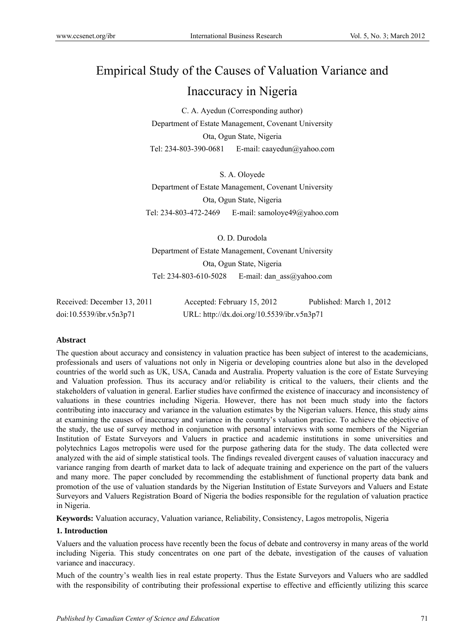# Empirical Study of the Causes of Valuation Variance and Inaccuracy in Nigeria

C. A. Ayedun (Corresponding author) Department of Estate Management, Covenant University Ota, Ogun State, Nigeria Tel: 234-803-390-0681 E-mail: caayedun@yahoo.com

S. A. Oloyede Department of Estate Management, Covenant University Ota, Ogun State, Nigeria Tel: 234-803-472-2469 E-mail: samoloye49@yahoo.com

O. D. Durodola Department of Estate Management, Covenant University Ota, Ogun State, Nigeria Tel: 234-803-610-5028 E-mail: dan\_ass@yahoo.com

| Received: December 13, 2011 | Accepted: February 15, 2012                | Published: March 1, 2012 |
|-----------------------------|--------------------------------------------|--------------------------|
| doi:10.5539/ibr.v5n3p71     | URL: http://dx.doi.org/10.5539/ibr.v5n3p71 |                          |

# **Abstract**

The question about accuracy and consistency in valuation practice has been subject of interest to the academicians, professionals and users of valuations not only in Nigeria or developing countries alone but also in the developed countries of the world such as UK, USA, Canada and Australia. Property valuation is the core of Estate Surveying and Valuation profession. Thus its accuracy and/or reliability is critical to the valuers, their clients and the stakeholders of valuation in general. Earlier studies have confirmed the existence of inaccuracy and inconsistency of valuations in these countries including Nigeria. However, there has not been much study into the factors contributing into inaccuracy and variance in the valuation estimates by the Nigerian valuers. Hence, this study aims at examining the causes of inaccuracy and variance in the country's valuation practice. To achieve the objective of the study, the use of survey method in conjunction with personal interviews with some members of the Nigerian Institution of Estate Surveyors and Valuers in practice and academic institutions in some universities and polytechnics Lagos metropolis were used for the purpose gathering data for the study. The data collected were analyzed with the aid of simple statistical tools. The findings revealed divergent causes of valuation inaccuracy and variance ranging from dearth of market data to lack of adequate training and experience on the part of the valuers and many more. The paper concluded by recommending the establishment of functional property data bank and promotion of the use of valuation standards by the Nigerian Institution of Estate Surveyors and Valuers and Estate Surveyors and Valuers Registration Board of Nigeria the bodies responsible for the regulation of valuation practice in Nigeria.

**Keywords:** Valuation accuracy, Valuation variance, Reliability, Consistency, Lagos metropolis, Nigeria

#### **1. Introduction**

Valuers and the valuation process have recently been the focus of debate and controversy in many areas of the world including Nigeria. This study concentrates on one part of the debate, investigation of the causes of valuation variance and inaccuracy.

Much of the country's wealth lies in real estate property. Thus the Estate Surveyors and Valuers who are saddled with the responsibility of contributing their professional expertise to effective and efficiently utilizing this scarce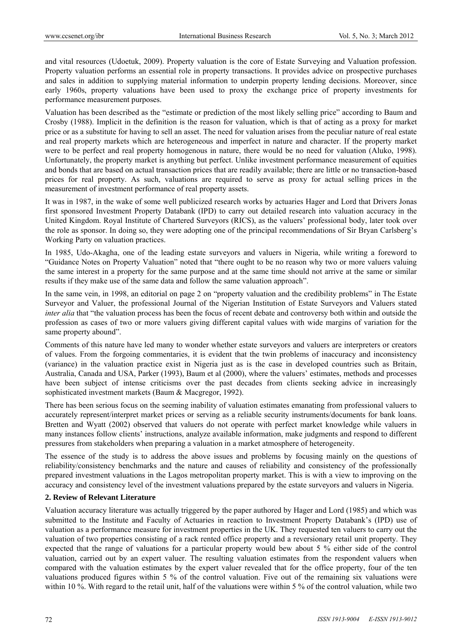and vital resources (Udoetuk, 2009). Property valuation is the core of Estate Surveying and Valuation profession. Property valuation performs an essential role in property transactions. It provides advice on prospective purchases and sales in addition to supplying material information to underpin property lending decisions. Moreover, since early 1960s, property valuations have been used to proxy the exchange price of property investments for performance measurement purposes.

Valuation has been described as the "estimate or prediction of the most likely selling price" according to Baum and Crosby (1988). Implicit in the definition is the reason for valuation, which is that of acting as a proxy for market price or as a substitute for having to sell an asset. The need for valuation arises from the peculiar nature of real estate and real property markets which are heterogeneous and imperfect in nature and character. If the property market were to be perfect and real property homogenous in nature, there would be no need for valuation (Aluko, 1998). Unfortunately, the property market is anything but perfect. Unlike investment performance measurement of equities and bonds that are based on actual transaction prices that are readily available; there are little or no transaction-based prices for real property. As such, valuations are required to serve as proxy for actual selling prices in the measurement of investment performance of real property assets.

It was in 1987, in the wake of some well publicized research works by actuaries Hager and Lord that Drivers Jonas first sponsored Investment Property Databank (IPD) to carry out detailed research into valuation accuracy in the United Kingdom. Royal Institute of Chartered Surveyors (RICS), as the valuers' professional body, later took over the role as sponsor. In doing so, they were adopting one of the principal recommendations of Sir Bryan Carlsberg's Working Party on valuation practices.

In 1985, Udo-Akagha, one of the leading estate surveyors and valuers in Nigeria, while writing a foreword to "Guidance Notes on Property Valuation" noted that "there ought to be no reason why two or more valuers valuing the same interest in a property for the same purpose and at the same time should not arrive at the same or similar results if they make use of the same data and follow the same valuation approach".

In the same vein, in 1998, an editorial on page 2 on "property valuation and the credibility problems" in The Estate Surveyor and Valuer, the professional Journal of the Nigerian Institution of Estate Surveyors and Valuers stated *inter alia* that "the valuation process has been the focus of recent debate and controversy both within and outside the profession as cases of two or more valuers giving different capital values with wide margins of variation for the same property abound".

Comments of this nature have led many to wonder whether estate surveyors and valuers are interpreters or creators of values. From the forgoing commentaries, it is evident that the twin problems of inaccuracy and inconsistency (variance) in the valuation practice exist in Nigeria just as is the case in developed countries such as Britain, Australia, Canada and USA, Parker (1993), Baum et al (2000), where the valuers' estimates, methods and processes have been subject of intense criticisms over the past decades from clients seeking advice in increasingly sophisticated investment markets (Baum & Macgregor, 1992).

There has been serious focus on the seeming inability of valuation estimates emanating from professional valuers to accurately represent/interpret market prices or serving as a reliable security instruments/documents for bank loans. Bretten and Wyatt (2002) observed that valuers do not operate with perfect market knowledge while valuers in many instances follow clients' instructions, analyze available information, make judgments and respond to different pressures from stakeholders when preparing a valuation in a market atmosphere of heterogeneity.

The essence of the study is to address the above issues and problems by focusing mainly on the questions of reliability/consistency benchmarks and the nature and causes of reliability and consistency of the professionally prepared investment valuations in the Lagos metropolitan property market. This is with a view to improving on the accuracy and consistency level of the investment valuations prepared by the estate surveyors and valuers in Nigeria.

# **2. Review of Relevant Literature**

Valuation accuracy literature was actually triggered by the paper authored by Hager and Lord (1985) and which was submitted to the Institute and Faculty of Actuaries in reaction to Investment Property Databank's (IPD) use of valuation as a performance measure for investment properties in the UK. They requested ten valuers to carry out the valuation of two properties consisting of a rack rented office property and a reversionary retail unit property. They expected that the range of valuations for a particular property would bew about 5 % either side of the control valuation, carried out by an expert valuer. The resulting valuation estimates from the respondent valuers when compared with the valuation estimates by the expert valuer revealed that for the office property, four of the ten valuations produced figures within 5 % of the control valuation. Five out of the remaining six valuations were within 10 %. With regard to the retail unit, half of the valuations were within 5 % of the control valuation, while two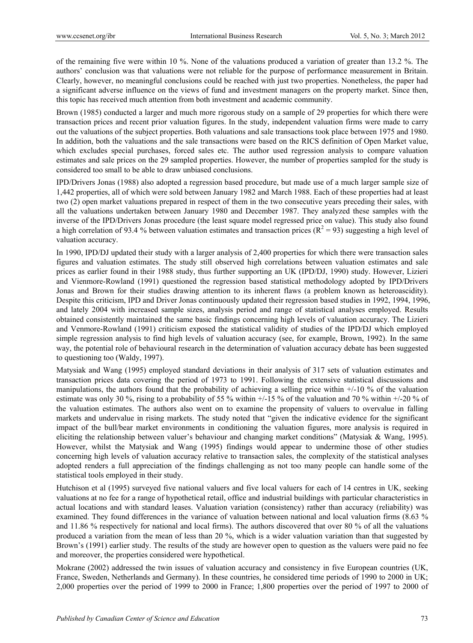of the remaining five were within 10 %. None of the valuations produced a variation of greater than 13.2 %. The authors' conclusion was that valuations were not reliable for the purpose of performance measurement in Britain. Clearly, however, no meaningful conclusions could be reached with just two properties. Nonetheless, the paper had a significant adverse influence on the views of fund and investment managers on the property market. Since then, this topic has received much attention from both investment and academic community.

Brown (1985) conducted a larger and much more rigorous study on a sample of 29 properties for which there were transaction prices and recent prior valuation figures. In the study, independent valuation firms were made to carry out the valuations of the subject properties. Both valuations and sale transactions took place between 1975 and 1980. In addition, both the valuations and the sale transactions were based on the RICS definition of Open Market value, which excludes special purchases, forced sales etc. The author used regression analysis to compare valuation estimates and sale prices on the 29 sampled properties. However, the number of properties sampled for the study is considered too small to be able to draw unbiased conclusions.

IPD/Drivers Jonas (1988) also adopted a regression based procedure, but made use of a much larger sample size of 1,442 properties, all of which were sold between January 1982 and March 1988. Each of these properties had at least two (2) open market valuations prepared in respect of them in the two consecutive years preceding their sales, with all the valuations undertaken between January 1980 and December 1987. They analyzed these samples with the inverse of the IPD/Drivers Jonas procedure (the least square model regressed price on value). This study also found a high correlation of 93.4 % between valuation estimates and transaction prices ( $R^2 = 93$ ) suggesting a high level of valuation accuracy.

In 1990, IPD/DJ updated their study with a larger analysis of 2,400 properties for which there were transaction sales figures and valuation estimates. The study still observed high correlations between valuation estimates and sale prices as earlier found in their 1988 study, thus further supporting an UK (IPD/DJ, 1990) study. However, Lizieri and Vienmore-Rowland (1991) questioned the regression based statistical methodology adopted by IPD/Drivers Jonas and Brown for their studies drawing attention to its inherent flaws (a problem known as heteroascidity). Despite this criticism, IPD and Driver Jonas continuously updated their regression based studies in 1992, 1994, 1996, and lately 2004 with increased sample sizes, analysis period and range of statistical analyses employed. Results obtained consistently maintained the same basic findings concerning high levels of valuation accuracy. The Lizieri and Venmore-Rowland (1991) criticism exposed the statistical validity of studies of the IPD/DJ which employed simple regression analysis to find high levels of valuation accuracy (see, for example, Brown, 1992). In the same way, the potential role of behavioural research in the determination of valuation accuracy debate has been suggested to questioning too (Waldy, 1997).

Matysiak and Wang (1995) employed standard deviations in their analysis of 317 sets of valuation estimates and transaction prices data covering the period of 1973 to 1991. Following the extensive statistical discussions and manipulations, the authors found that the probability of achieving a selling price within +/-10 % of the valuation estimate was only 30 %, rising to a probability of 55 % within  $+/-15$  % of the valuation and 70 % within  $+/-20$  % of the valuation estimates. The authors also went on to examine the propensity of valuers to overvalue in falling markets and undervalue in rising markets. The study noted that "given the indicative evidence for the significant impact of the bull/bear market environments in conditioning the valuation figures, more analysis is required in eliciting the relationship between valuer's behaviour and changing market conditions" (Matysiak & Wang, 1995). However, whilst the Matysiak and Wang (1995) findings would appear to undermine those of other studies concerning high levels of valuation accuracy relative to transaction sales, the complexity of the statistical analyses adopted renders a full appreciation of the findings challenging as not too many people can handle some of the statistical tools employed in their study.

Hutchison et al (1995) surveyed five national valuers and five local valuers for each of 14 centres in UK, seeking valuations at no fee for a range of hypothetical retail, office and industrial buildings with particular characteristics in actual locations and with standard leases. Valuation variation (consistency) rather than accuracy (reliability) was examined. They found differences in the variance of valuation between national and local valuation firms (8.63 % and 11.86 % respectively for national and local firms). The authors discovered that over 80 % of all the valuations produced a variation from the mean of less than 20 %, which is a wider valuation variation than that suggested by Brown's (1991) earlier study. The results of the study are however open to question as the valuers were paid no fee and moreover, the properties considered were hypothetical.

Mokrane (2002) addressed the twin issues of valuation accuracy and consistency in five European countries (UK, France, Sweden, Netherlands and Germany). In these countries, he considered time periods of 1990 to 2000 in UK; 2,000 properties over the period of 1999 to 2000 in France; 1,800 properties over the period of 1997 to 2000 of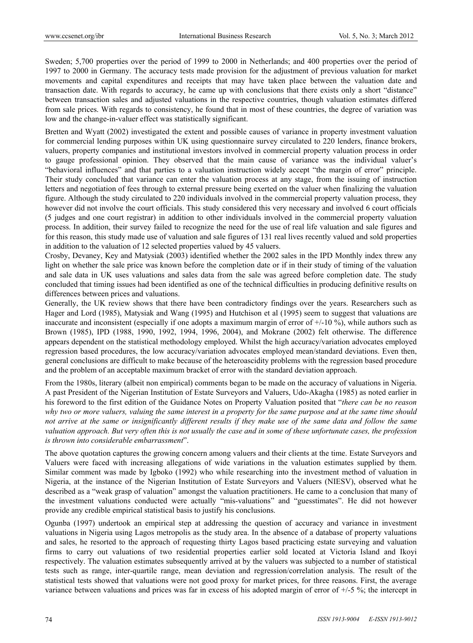Sweden; 5,700 properties over the period of 1999 to 2000 in Netherlands; and 400 properties over the period of 1997 to 2000 in Germany. The accuracy tests made provision for the adjustment of previous valuation for market movements and capital expenditures and receipts that may have taken place between the valuation date and transaction date. With regards to accuracy, he came up with conclusions that there exists only a short "distance" between transaction sales and adjusted valuations in the respective countries, though valuation estimates differed from sale prices. With regards to consistency, he found that in most of these countries, the degree of variation was low and the change-in-valuer effect was statistically significant.

Bretten and Wyatt (2002) investigated the extent and possible causes of variance in property investment valuation for commercial lending purposes within UK using questionnaire survey circulated to 220 lenders, finance brokers, valuers, property companies and institutional investors involved in commercial property valuation process in order to gauge professional opinion. They observed that the main cause of variance was the individual valuer's "behavioral influences" and that parties to a valuation instruction widely accept "the margin of error" principle. Their study concluded that variance can enter the valuation process at any stage, from the issuing of instruction letters and negotiation of fees through to external pressure being exerted on the valuer when finalizing the valuation figure. Although the study circulated to 220 individuals involved in the commercial property valuation process, they however did not involve the court officials. This study considered this very necessary and involved 6 court officials (5 judges and one court registrar) in addition to other individuals involved in the commercial property valuation process. In addition, their survey failed to recognize the need for the use of real life valuation and sale figures and for this reason, this study made use of valuation and sale figures of 131 real lives recently valued and sold properties in addition to the valuation of 12 selected properties valued by 45 valuers.

Crosby, Devaney, Key and Matysiak (2003) identified whether the 2002 sales in the IPD Monthly index threw any light on whether the sale price was known before the completion date or if in their study of timing of the valuation and sale data in UK uses valuations and sales data from the sale was agreed before completion date. The study concluded that timing issues had been identified as one of the technical difficulties in producing definitive results on differences between prices and valuations.

Generally, the UK review shows that there have been contradictory findings over the years. Researchers such as Hager and Lord (1985), Matysiak and Wang (1995) and Hutchison et al (1995) seem to suggest that valuations are inaccurate and inconsistent (especially if one adopts a maximum margin of error of  $+/-10\%$ ), while authors such as Brown (1985), IPD (1988, 1990, 1992, 1994, 1996, 2004), and Mokrane (2002) felt otherwise. The difference appears dependent on the statistical methodology employed. Whilst the high accuracy/variation advocates employed regression based procedures, the low accuracy/variation advocates employed mean/standard deviations. Even then, general conclusions are difficult to make because of the heteroascidity problems with the regression based procedure and the problem of an acceptable maximum bracket of error with the standard deviation approach.

From the 1980s, literary (albeit non empirical) comments began to be made on the accuracy of valuations in Nigeria. A past President of the Nigerian Institution of Estate Surveyors and Valuers, Udo-Akagha (1985) as noted earlier in his foreword to the first edition of the Guidance Notes on Property Valuation posited that "*there can be no reason why two or more valuers, valuing the same interest in a property for the same purpose and at the same time should not arrive at the same or insignificantly different results if they make use of the same data and follow the same valuation approach. But very often this is not usually the case and in some of these unfortunate cases, the profession is thrown into considerable embarrassment*".

The above quotation captures the growing concern among valuers and their clients at the time. Estate Surveyors and Valuers were faced with increasing allegations of wide variations in the valuation estimates supplied by them. Similar comment was made by Igboko (1992) who while researching into the investment method of valuation in Nigeria, at the instance of the Nigerian Institution of Estate Surveyors and Valuers (NIESV), observed what he described as a "weak grasp of valuation" amongst the valuation practitioners. He came to a conclusion that many of the investment valuations conducted were actually "mis-valuations" and "guesstimates". He did not however provide any credible empirical statistical basis to justify his conclusions.

Ogunba (1997) undertook an empirical step at addressing the question of accuracy and variance in investment valuations in Nigeria using Lagos metropolis as the study area. In the absence of a database of property valuations and sales, he resorted to the approach of requesting thirty Lagos based practicing estate surveying and valuation firms to carry out valuations of two residential properties earlier sold located at Victoria Island and Ikoyi respectively. The valuation estimates subsequently arrived at by the valuers was subjected to a number of statistical tests such as range, inter-quartile range, mean deviation and regression/correlation analysis. The result of the statistical tests showed that valuations were not good proxy for market prices, for three reasons. First, the average variance between valuations and prices was far in excess of his adopted margin of error of +/-5 %; the intercept in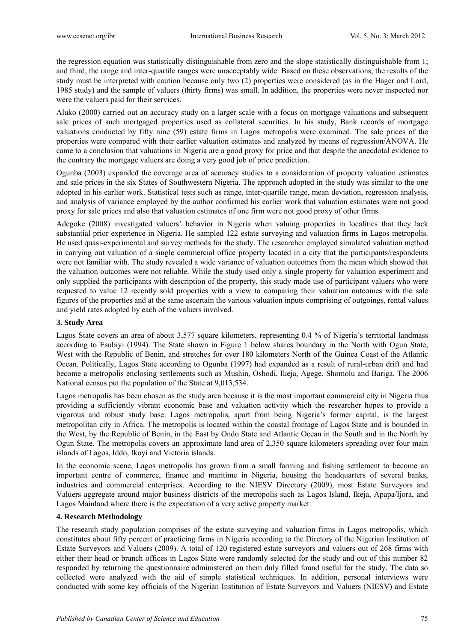the regression equation was statistically distinguishable from zero and the slope statistically distinguishable from 1; and third, the range and inter-quartile ranges were unacceptably wide. Based on these observations, the results of the study must be interpreted with caution because only two (2) properties were considered (as in the Hager and Lord, 1985 study) and the sample of valuers (thirty firms) was small. In addition, the properties were never inspected nor were the valuers paid for their services.

Aluko (2000) carried out an accuracy study on a larger scale with a focus on mortgage valuations and subsequent sale prices of such mortgaged properties used as collateral securities. In his study, Bank records of mortgage valuations conducted by fifty nine (59) estate firms in Lagos metropolis were examined. The sale prices of the properties were compared with their earlier valuation estimates and analyzed by means of regression/ANOVA. He came to a conclusion that valuations in Nigeria are a good proxy for price and that despite the anecdotal evidence to the contrary the mortgage valuers are doing a very good job of price prediction.

Ogunba (2003) expanded the coverage area of accuracy studies to a consideration of property valuation estimates and sale prices in the six States of Southwestern Nigeria. The approach adopted in the study was similar to the one adopted in his earlier work. Statistical tests such as range, inter-quartile range, mean deviation, regression analysis, and analysis of variance employed by the author confirmed his earlier work that valuation estimates were not good proxy for sale prices and also that valuation estimates of one firm were not good proxy of other firms.

Adegoke (2008) investigated valuers' behavior in Nigeria when valuing properties in localities that they lack substantial prior experience in Nigeria. He sampled 122 estate surveying and valuation firms in Lagos metropolis. He used quasi-experimental and survey methods for the study. The researcher employed simulated valuation method in carrying out valuation of a single commercial office property located in a city that the participants/respondents were not familiar with. The study revealed a wide variance of valuation outcomes from the mean which showed that the valuation outcomes were not reliable. While the study used only a single property for valuation experiment and only supplied the participants with description of the property, this study made use of participant valuers who were requested to value 12 recently sold properties with a view to comparing their valuation outcomes with the sale figures of the properties and at the same ascertain the various valuation inputs comprising of outgoings, rental values and yield rates adopted by each of the valuers involved.

# **3. Study Area**

Lagos State covers an area of about 3,577 square kilometers, representing 0.4 % of Nigeria's territorial landmass according to Esubiyi (1994). The State shown in Figure 1 below shares boundary in the North with Ogun State, West with the Republic of Benin, and stretches for over 180 kilometers North of the Guinea Coast of the Atlantic Ocean. Politically, Lagos State according to Ogunba (1997) had expanded as a result of rural-urban drift and had become a metropolis enclosing settlements such as Mushin, Oshodi, Ikeja, Agege, Shomolu and Bariga. The 2006 National census put the population of the State at 9,013,534.

Lagos metropolis has been chosen as the study area because it is the most important commercial city in Nigeria thus providing a sufficiently vibrant economic base and valuation activity which the researcher hopes to provide a vigorous and robust study base. Lagos metropolis, apart from being Nigeria's former capital, is the largest metropolitan city in Africa. The metropolis is located within the coastal frontage of Lagos State and is bounded in the West, by the Republic of Benin, in the East by Ondo State and Atlantic Ocean in the South and in the North by Ogun State. The metropolis covers an approximate land area of 2,350 square kilometers spreading over four main islands of Lagos, Iddo, Ikoyi and Victoria islands.

In the economic scene, Lagos metropolis has grown from a small farming and fishing settlement to become an important centre of commerce, finance and maritime in Nigeria, housing the headquarters of several banks, industries and commercial enterprises. According to the NIESV Directory (2009), most Estate Surveyors and Valuers aggregate around major business districts of the metropolis such as Lagos Island, Ikeja, Apapa/Ijora, and Lagos Mainland where there is the expectation of a very active property market.

# **4. Research Methodology**

The research study population comprises of the estate surveying and valuation firms in Lagos metropolis, which constitutes about fifty percent of practicing firms in Nigeria according to the Dirctory of the Nigerian Institution of Estate Surveyors and Valuers (2009). A total of 120 registered estate surveyors and valuers out of 268 firms with either their head or branch offices in Lagos State were randomly selected for the study and out of this number 82 responded by returning the questionnaire administered on them duly filled found useful for the study. The data so collected were analyzed with the aid of simple statistical techniques. In addition, personal interviews were conducted with some key officials of the Nigerian Institution of Estate Surveyors and Valuers (NIESV) and Estate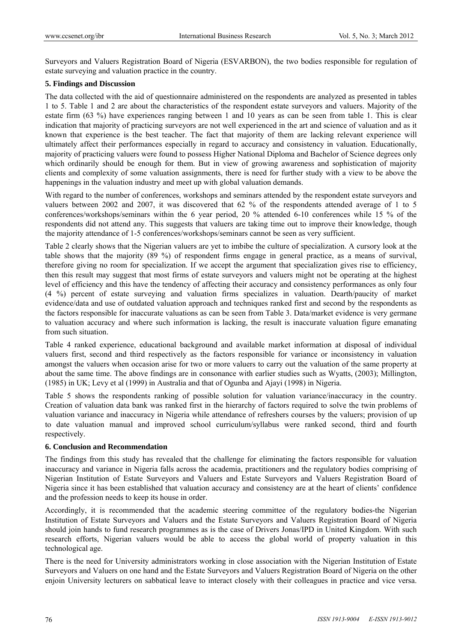Surveyors and Valuers Registration Board of Nigeria (ESVARBON), the two bodies responsible for regulation of estate surveying and valuation practice in the country.

# **5. Findings and Discussion**

The data collected with the aid of questionnaire administered on the respondents are analyzed as presented in tables 1 to 5. Table 1 and 2 are about the characteristics of the respondent estate surveyors and valuers. Majority of the estate firm (63 %) have experiences ranging between 1 and 10 years as can be seen from table 1. This is clear indication that majority of practicing surveyors are not well experienced in the art and science of valuation and as it known that experience is the best teacher. The fact that majority of them are lacking relevant experience will ultimately affect their performances especially in regard to accuracy and consistency in valuation. Educationally, majority of practicing valuers were found to possess Higher National Diploma and Bachelor of Science degrees only which ordinarily should be enough for them. But in view of growing awareness and sophistication of majority clients and complexity of some valuation assignments, there is need for further study with a view to be above the happenings in the valuation industry and meet up with global valuation demands.

With regard to the number of conferences, workshops and seminars attended by the respondent estate surveyors and valuers between 2002 and 2007, it was discovered that 62 % of the respondents attended average of 1 to 5 conferences/workshops/seminars within the 6 year period, 20 % attended 6-10 conferences while 15 % of the respondents did not attend any. This suggests that valuers are taking time out to improve their knowledge, though the majority attendance of 1-5 conferences/workshops/seminars cannot be seen as very sufficient.

Table 2 clearly shows that the Nigerian valuers are yet to imbibe the culture of specialization. A cursory look at the table shows that the majority (89 %) of respondent firms engage in general practice, as a means of survival, therefore giving no room for specialization. If we accept the argument that specialization gives rise to efficiency, then this result may suggest that most firms of estate surveyors and valuers might not be operating at the highest level of efficiency and this have the tendency of affecting their accuracy and consistency performances as only four (4 %) percent of estate surveying and valuation firms specializes in valuation. Dearth/paucity of market evidence/data and use of outdated valuation approach and techniques ranked first and second by the respondents as the factors responsible for inaccurate valuations as can be seen from Table 3. Data/market evidence is very germane to valuation accuracy and where such information is lacking, the result is inaccurate valuation figure emanating from such situation.

Table 4 ranked experience, educational background and available market information at disposal of individual valuers first, second and third respectively as the factors responsible for variance or inconsistency in valuation amongst the valuers when occasion arise for two or more valuers to carry out the valuation of the same property at about the same time. The above findings are in consonance with earlier studies such as Wyatts, (2003); Millington, (1985) in UK; Levy et al (1999) in Australia and that of Ogunba and Ajayi (1998) in Nigeria.

Table 5 shows the respondents ranking of possible solution for valuation variance/inaccuracy in the country. Creation of valuation data bank was ranked first in the hierarchy of factors required to solve the twin problems of valuation variance and inaccuracy in Nigeria while attendance of refreshers courses by the valuers; provision of up to date valuation manual and improved school curriculum/syllabus were ranked second, third and fourth respectively.

# **6. Conclusion and Recommendation**

The findings from this study has revealed that the challenge for eliminating the factors responsible for valuation inaccuracy and variance in Nigeria falls across the academia, practitioners and the regulatory bodies comprising of Nigerian Institution of Estate Surveyors and Valuers and Estate Surveyors and Valuers Registration Board of Nigeria since it has been established that valuation accuracy and consistency are at the heart of clients' confidence and the profession needs to keep its house in order.

Accordingly, it is recommended that the academic steering committee of the regulatory bodies-the Nigerian Institution of Estate Surveyors and Valuers and the Estate Surveyors and Valuers Registration Board of Nigeria should join hands to fund research programmes as is the case of Drivers Jonas/IPD in United Kingdom. With such research efforts, Nigerian valuers would be able to access the global world of property valuation in this technological age.

There is the need for University administrators working in close association with the Nigerian Institution of Estate Surveyors and Valuers on one hand and the Estate Surveyors and Valuers Registration Board of Nigeria on the other enjoin University lecturers on sabbatical leave to interact closely with their colleagues in practice and vice versa.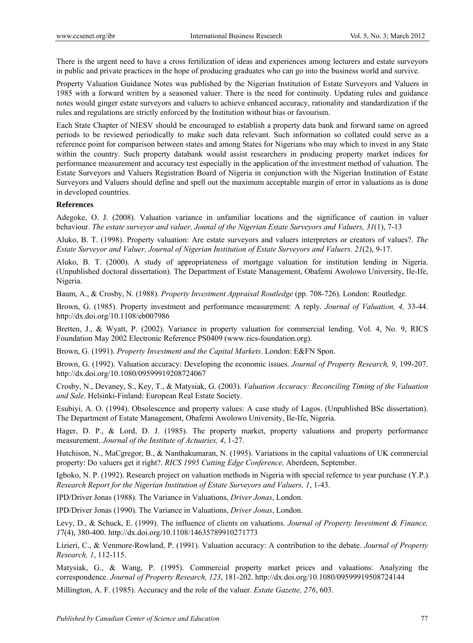There is the urgent need to have a cross fertilization of ideas and experiences among lecturers and estate surveyors in public and private practices in the hope of producing graduates who can go into the business world and survive.

Property Valuation Guidance Notes was published by the Nigerian Institution of Estate Surveyors and Valuers in 1985 with a forward written by a seasoned valuer. There is the need for continuity. Updating rules and guidance notes would ginger estate surveyors and valuers to achieve enhanced accuracy, rationality and standardization if the rules and regulations are strictly enforced by the Institution without bias or favourism.

Each State Chapter of NIESV should be encouraged to establish a property data bank and forward same on agreed periods to be reviewed periodically to make such data relevant. Such information so collated could serve as a reference point for comparison between states and among States for Nigerians who may which to invest in any State within the country. Such property databank would assist researchers in producing property market indices for performance measurement and accuracy test especially in the application of the investment method of valuation. The Estate Surveyors and Valuers Registration Board of Nigeria in conjunction with the Nigerian Institution of Estate Surveyors and Valuers should define and spell out the maximum acceptable margin of error in valuations as is done in developed countries.

# **References**

Adegoke, O. J. (2008). Valuation variance in unfamiliar locations and the significance of caution in valuer behaviour. *The estate surveyor and valuer, Jounal of the Nigerian Estate Surveyors and Valuers, 31*(1), 7-13

Aluko, B. T. (1998). Property valuation: Are estate surveyors and valuers interpreters or creators of values?. *The Estate Surveyor and Valuer, Journal of Nigerian Institution of Estate Surveyors and Valuers. 21*(2), 9-17.

Aluko, B. T. (2000). A study of appropriateness of mortgage valuation for institution lending in Nigeria. (Unpublished doctoral dissertation). The Department of Estate Management, Obafemi Awolowo University, Ile-Ife, Nigeria.

Baum, A., & Crosby, N. (1988). *Property Investment Appraisal Routledge* (pp. 708-726). London: Routledge.

Brown, G. (1985). Property investment and performance measurement: A reply. *Journal of Valuation, 4,* 33-44. http://dx.doi.org/10.1108/eb007986

Bretten, J., & Wyatt, P. (2002). Variance in property valuation for commercial lending. Vol. 4, No. 9, RICS Foundation May 2002 Electronic Reference PS0409 (www.rics-foundation.org).

Brown, G. (1991). *Property Investment and the Capital Markets*. London: E&FN Spon.

Brown, G. (1992). Valuation accuracy: Developing the economic issues. *Journal of Property Research, 9*, 199-207. http://dx.doi.org/10.1080/09599919208724067

Crosby, N., Devaney, S., Key, T., & Matysiak, G. (2003). *Valuation Accuracy: Reconciling Timing of the Valuation and Sale*. Helsinki-Finland: European Real Estate Society.

Esubiyi, A. O. (1994). Obsolescence and property values: A case study of Lagos. (Unpublished BSc dissertation). The Department of Estate Management, Obafemi Awolowo University, Ile-Ife, Nigeria.

Hager, D. P., & Lord, D. J. (1985). The property market, property valuations and property performance measurement. *Journal of the Institute of Actuaries, 4*, 1-27.

Hutchison, N., MaCgregor, B., & Nanthakumaran, N. (1995). Variations in the capital valuations of UK commercial property: Do valuers get it right?. *RICS 1995 Cutting Edge Conference,* Aberdeen, September.

Igboko, N. P. (1992). Research project on valuation methods in Nigeria with special refernce to year purchase (Y.P.). *Research Report for the Nigerian Institution of Estate Surveyors and Valuers, 1*, 1-43.

IPD/Driver Jonas (1988). The Variance in Valuations, *Driver Jonas*, London.

IPD/Driver Jonas (1990). The Variance in Valuations, *Driver Jonas*, London.

Levy, D., & Schuck, E. (1999). The influence of clients on valuations. *Journal of Property Investment & Finance, 1*7(4), 380-400. http://dx.doi.org/10.1108/14635789910271773

Lizieri, C., & Venmore-Rowland, P. (1991). Valuation accuracy: A contribution to the debate. *Journal of Property Research, 1*, 112-115.

Matysiak, G., & Wang, P. (1995). Commercial property market prices and valuations: Analyzing the correspondence. *Journal of Property Research, 123*, 181-202. http://dx.doi.org/10.1080/09599919508724144

Millington, A. F. (1985). Accuracy and the role of the valuer. *Estate Gazette, 276*, 603.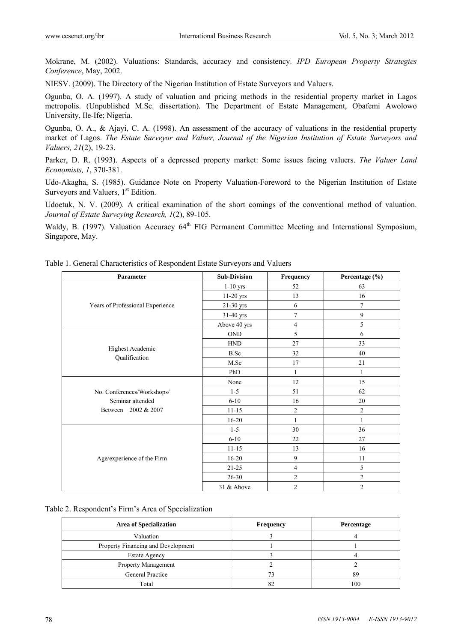Mokrane, M. (2002). Valuations: Standards, accuracy and consistency. *IPD European Property Strategies Conference*, May, 2002.

NIESV. (2009). The Directory of the Nigerian Institution of Estate Surveyors and Valuers.

Ogunba, O. A. (1997). A study of valuation and pricing methods in the residential property market in Lagos metropolis. (Unpublished M.Sc. dissertation). The Department of Estate Management, Obafemi Awolowo University, Ile-Ife; Nigeria.

Ogunba, O. A., & Ajayi, C. A. (1998). An assessment of the accuracy of valuations in the residential property market of Lagos. *The Estate Surveyor and Valuer, Journal of the Nigerian Institution of Estate Surveyors and Valuers, 21*(2), 19-23.

Parker, D. R. (1993). Aspects of a depressed property market: Some issues facing valuers. *The Valuer Land Economists, 1*, 370-381.

Udo-Akagha, S. (1985). Guidance Note on Property Valuation-Foreword to the Nigerian Institution of Estate Surveyors and Valuers,  $1<sup>st</sup>$  Edition.

Udoetuk, N. V. (2009). A critical examination of the short comings of the conventional method of valuation. *Journal of Estate Surveying Research, 1*(2), 89-105.

Waldy, B. (1997). Valuation Accuracy 64<sup>th</sup> FIG Permanent Committee Meeting and International Symposium, Singapore, May.

| Table 1. General Characteristics of Respondent Estate Surveyors and Valuers |
|-----------------------------------------------------------------------------|
|-----------------------------------------------------------------------------|

| <b>Parameter</b>                 | <b>Sub-Division</b> | Frequency      | Percentage (%) |
|----------------------------------|---------------------|----------------|----------------|
|                                  | $1-10$ yrs          | 52             | 63             |
|                                  | $11-20$ yrs         | 13             | 16             |
| Years of Professional Experience | 21-30 yrs           | 6              | $\tau$         |
|                                  | 31-40 yrs           | $\overline{7}$ | 9              |
|                                  | Above 40 yrs        | $\overline{4}$ | 5              |
|                                  | <b>OND</b>          | 5              | 6              |
|                                  | <b>HND</b>          | 27             | 33             |
| <b>Highest Academic</b>          | <b>B.Sc</b>         | 32             | 40             |
| Qualification                    | M.Sc                | 17             | 21             |
|                                  | PhD                 | 1              | $\mathbf{1}$   |
|                                  | None                | 12             | 15             |
| No. Conferences/Workshops/       | $1 - 5$             | 51             | 62             |
| Seminar attended                 | $6 - 10$            | 16             | 20             |
| Between 2002 & 2007              | $11 - 15$           | $\overline{2}$ | $\overline{2}$ |
|                                  | $16 - 20$           | 1              | $\mathbf{1}$   |
|                                  | $1 - 5$             | 30             | 36             |
|                                  | $6 - 10$            | 22             | 27             |
|                                  | $11 - 15$           | 13             | 16             |
| Age/experience of the Firm       | $16 - 20$           | 9              | 11             |
|                                  | $21 - 25$           | 4              | 5              |
|                                  | $26 - 30$           | $\mathfrak{2}$ | $\overline{c}$ |
|                                  | 31 & Above          | $\overline{2}$ | $\overline{2}$ |

Table 2. Respondent's Firm's Area of Specialization

| <b>Area of Specialization</b>      | Frequency | Percentage |
|------------------------------------|-----------|------------|
| Valuation                          |           |            |
| Property Financing and Development |           |            |
| <b>Estate Agency</b>               |           |            |
| <b>Property Management</b>         |           |            |
| General Practice                   |           | 89         |
| Total                              | 82        | 100        |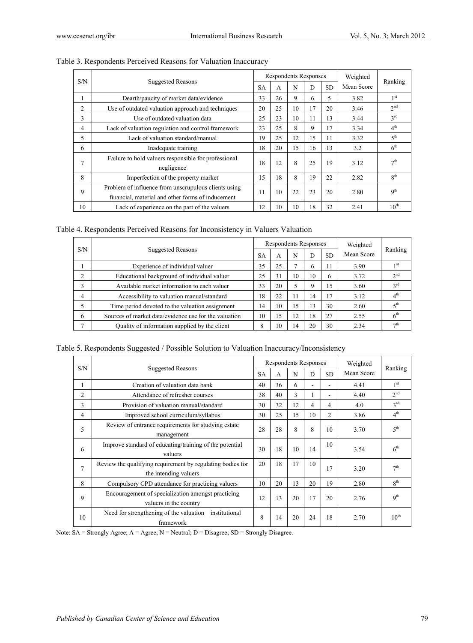|                |                                                                                                           |           |    | Respondents Responses |    |           | Weighted   |                 |
|----------------|-----------------------------------------------------------------------------------------------------------|-----------|----|-----------------------|----|-----------|------------|-----------------|
|                | S/N<br><b>Suggested Reasons</b>                                                                           | <b>SA</b> | A  | N                     | D  | <b>SD</b> | Mean Score | Ranking         |
|                | Dearth/paucity of market data/evidence                                                                    | 33        | 26 | 9                     | 6  | 5         | 3.82       | 1 <sup>st</sup> |
| $\overline{2}$ | Use of outdated valuation approach and techniques                                                         | 20        | 25 | 10                    | 17 | 20        | 3.46       | 2 <sub>nd</sub> |
| 3              | Use of outdated valuation data                                                                            | 25        | 23 | 10                    | 11 | 13        | 3.44       | 3 <sup>rd</sup> |
| 4              | Lack of valuation regulation and control framework                                                        | 23        | 25 | 8                     | 9  | 17        | 3.34       | 4 <sup>th</sup> |
| 5              | Lack of valuation standard/manual                                                                         | 19        | 25 | 12                    | 15 | 11        | 3.32       | 5 <sup>th</sup> |
| 6              | Inadequate training                                                                                       | 18        | 20 | 15                    | 16 | 13        | 3.2        | 6 <sup>th</sup> |
| 7              | Failure to hold valuers responsible for professional<br>negligence                                        | 18        | 12 | 8                     | 25 | 19        | 3.12       | 7 <sup>th</sup> |
| 8              | Imperfection of the property market                                                                       | 15        | 18 | 8                     | 19 | 22        | 2.82       | $R^{th}$        |
| 9              | Problem of influence from unscrupulous clients using<br>financial, material and other forms of inducement | 11        | 10 | 22                    | 23 | 20        | 2.80       | Q <sup>th</sup> |
| 10             | Lack of experience on the part of the valuers                                                             | 12        | 10 | 10                    | 18 | 32        | 2.41       | $10^{th}$       |

| Table 3. Respondents Perceived Reasons for Valuation Inaccuracy |  |
|-----------------------------------------------------------------|--|
|-----------------------------------------------------------------|--|

Table 4. Respondents Perceived Reasons for Inconsistency in Valuers Valuation

|   |                                                       |           | Respondents Responses |    |    |           | Weighted   |                 |
|---|-------------------------------------------------------|-----------|-----------------------|----|----|-----------|------------|-----------------|
|   | S/N<br><b>Suggested Reasons</b>                       | <b>SA</b> | A                     | N  | D  | <b>SD</b> | Mean Score | Ranking         |
|   | Experience of individual valuer                       | 35        | 25                    |    |    | 11        | 3.90       | 1 <sup>st</sup> |
| C | Educational background of individual valuer           | 25        | 31                    | 10 | 10 | 6         | 3.72       | 2 <sup>nd</sup> |
| 3 | Available market information to each valuer           | 33        | 20                    |    |    | 15        | 3.60       | $3^{\text{rd}}$ |
| 4 | Accessibility to valuation manual/standard            | 18        | 22                    | 11 | 14 | 17        | 3.12       | 4 <sup>th</sup> |
|   | Time period devoted to the valuation assignment       | 14        | 10                    | 15 | 13 | 30        | 2.60       | 5 <sup>th</sup> |
| 6 | Sources of market data/evidence use for the valuation | 10        | 15                    | 12 | 18 | 27        | 2.55       | 6 <sup>th</sup> |
| ∍ | Quality of information supplied by the client         | 8         | 10                    | 14 | 20 | 30        | 2.34       | 7 <sup>th</sup> |

Table 5. Respondents Suggested / Possible Solution to Valuation Inaccuracy/Inconsistency

|                | <b>Suggested Reasons</b>                                                            | Respondents Responses |    |    |                          |                | Weighted   |                  |
|----------------|-------------------------------------------------------------------------------------|-----------------------|----|----|--------------------------|----------------|------------|------------------|
| S/N            |                                                                                     | <b>SA</b>             | A  | N  | D                        | SD.            | Mean Score | Ranking          |
| 1              | Creation of valuation data bank                                                     | 40                    | 36 | 6  | $\overline{\phantom{a}}$ |                | 4.41       | 1 <sup>st</sup>  |
| $\overline{c}$ | Attendance of refresher courses                                                     | 38                    | 40 | 3  |                          |                | 4.40       | 2 <sup>nd</sup>  |
| 3              | Provision of valuation manual/standard                                              | 30                    | 32 | 12 | 4                        | 4              | 4.0        | $3^{\text{rd}}$  |
| 4              | Improved school curriculum/syllabus                                                 | 30                    | 25 | 15 | 10                       | $\overline{c}$ | 3.86       | 4 <sup>th</sup>  |
| 5              | Review of entrance requirements for studying estate<br>management                   | 28                    | 28 | 8  | 8                        | 10             | 3.70       | 5 <sup>th</sup>  |
| 6              | Improve standard of educating/training of the potential<br>valuers                  | 30                    | 18 | 10 | 14                       | 10             | 3.54       | 6 <sup>th</sup>  |
| 7              | Review the qualifying requirement by regulating bodies for<br>the intending valuers | 20                    | 18 | 17 | 10                       | 17             | 3.20       | 7 <sup>th</sup>  |
| 8              | Compulsory CPD attendance for practicing valuers                                    | 10                    | 20 | 13 | 20                       | 19             | 2.80       | $R^{th}$         |
| 9              | Encouragement of specialization amongst practicing<br>valuers in the country        | 12                    | 13 | 20 | 17                       | 20             | 2.76       | 9 <sup>th</sup>  |
| 10             | Need for strengthening of the valuation<br>institutional<br>framework               | 8                     | 14 | 20 | 24                       | 18             | 2.70       | $10^{\text{th}}$ |

Note: SA = Strongly Agree; A = Agree; N = Neutral; D = Disagree; SD = Strongly Disagree.